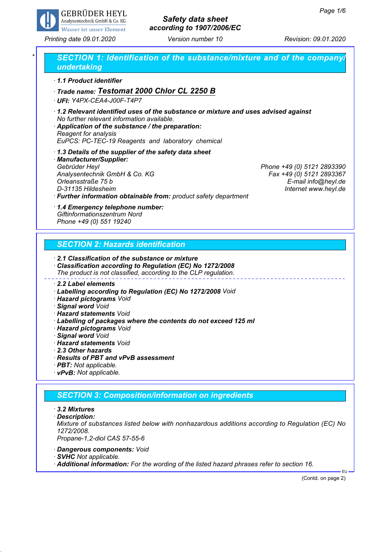

# *Safety data sheet according to 1907/2006/EC*

*Printing date 09.01.2020 Version number 10 Revision: 09.01.2020*

### *\* SECTION 1: Identification of the substance/mixture and of the company/ undertaking · 1.1 Product identifier · Trade name: Testomat 2000 Chlor CL 2250 B · UFI: Y4PX-CEA4-J00F-T4P7 · 1.2 Relevant identified uses of the substance or mixture and uses advised against No further relevant information available. · Application of the substance / the preparation: Reagent for analysis EuPCS: PC-TEC-19 Reagents and laboratory chemical · 1.3 Details of the supplier of the safety data sheet · Manufacturer/Supplier: Gebrüder Heyl Phone +49 (0) 5121 2893390 Analysentechnik GmbH & Co. KG Fax +49 (0) 5121 2893367 Orleansstraße 75 b E-mail info@heyl.de D-31135 Hildesheim Internet www.heyl.de · Further information obtainable from: product safety department · 1.4 Emergency telephone number: Giftinformationszentrum Nord Phone +49 (0) 551 19240 SECTION 2: Hazards identification · 2.1 Classification of the substance or mixture · Classification according to Regulation (EC) No 1272/2008 The product is not classified, according to the CLP regulation. · 2.2 Label elements · Labelling according to Regulation (EC) No 1272/2008 Void · Hazard pictograms Void · Signal word Void · Hazard statements Void · Labelling of packages where the contents do not exceed 125 ml · Hazard pictograms Void*

- *· Signal word Void*
- *· Hazard statements Void*
- *· 2.3 Other hazards*
- *· Results of PBT and vPvB assessment*
- *· PBT: Not applicable.*
- *· vPvB: Not applicable.*

#### *SECTION 3: Composition/information on ingredients*

- *· 3.2 Mixtures*
- *· Description:*

*Mixture of substances listed below with nonhazardous additions according to Regulation (EC) No 1272/2008.*

- *Propane-1,2-diol CAS 57-55-6*
- *· Dangerous components: Void*
- *· SVHC Not applicable.*
- *· Additional information: For the wording of the listed hazard phrases refer to section 16.*

(Contd. on page 2)

EU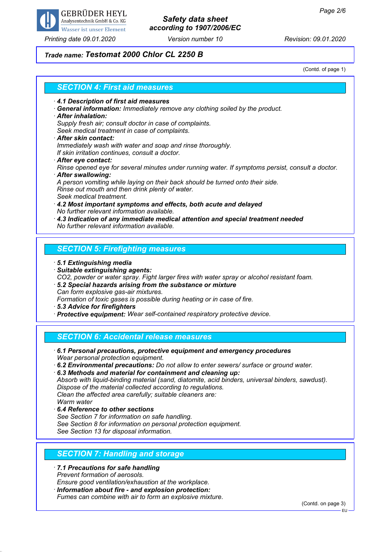

# *Safety data sheet according to 1907/2006/EC*

*Printing date 09.01.2020 Version number 10 Revision: 09.01.2020*

#### *Trade name: Testomat 2000 Chlor CL 2250 B*

(Contd. of page 1)

| <b>SECTION 4: First aid measures</b>                                                                                                                                                                           |
|----------------------------------------------------------------------------------------------------------------------------------------------------------------------------------------------------------------|
| 4.1 Description of first aid measures<br>· General information: Immediately remove any clothing soiled by the product.<br>$\cdot$ After inhalation:<br>Supply fresh air; consult doctor in case of complaints. |
| Seek medical treatment in case of complaints.<br>After skin contact:<br>Immediately wash with water and soap and rinse thoroughly.<br>If skin irritation continues, consult a doctor.                          |
| After eye contact:<br>Rinse opened eye for several minutes under running water. If symptoms persist, consult a doctor.<br>After swallowing:                                                                    |
| A person vomiting while laying on their back should be turned onto their side.<br>Rinse out mouth and then drink plenty of water.<br>Seek medical treatment.                                                   |
| 4.2 Most important symptoms and effects, both acute and delayed<br>No further relevant information available.<br>$\cdot$ 4.3 Indication of any immediate medical attention and special treatment needed        |
| No further relevant information available.                                                                                                                                                                     |
| <b>SECTION 5: Firefighting measures</b>                                                                                                                                                                        |

- *· 5.1 Extinguishing media*
- *· Suitable extinguishing agents:*
- *CO2, powder or water spray. Fight larger fires with water spray or alcohol resistant foam.*
- *· 5.2 Special hazards arising from the substance or mixture Can form explosive gas-air mixtures.*
- *Formation of toxic gases is possible during heating or in case of fire.*
- *· 5.3 Advice for firefighters*
- *· Protective equipment: Wear self-contained respiratory protective device.*

### *SECTION 6: Accidental release measures*

- *· 6.1 Personal precautions, protective equipment and emergency procedures Wear personal protection equipment.*
- *· 6.2 Environmental precautions: Do not allow to enter sewers/ surface or ground water.*

*· 6.3 Methods and material for containment and cleaning up: Absorb with liquid-binding material (sand, diatomite, acid binders, universal binders, sawdust). Dispose of the material collected according to regulations. Clean the affected area carefully; suitable cleaners are: Warm water*

*· 6.4 Reference to other sections See Section 7 for information on safe handling. See Section 8 for information on personal protection equipment. See Section 13 for disposal information.*

#### *SECTION 7: Handling and storage*

- *· 7.1 Precautions for safe handling Prevent formation of aerosols. Ensure good ventilation/exhaustion at the workplace.*
- *· Information about fire and explosion protection: Fumes can combine with air to form an explosive mixture.*

(Contd. on page 3)

EU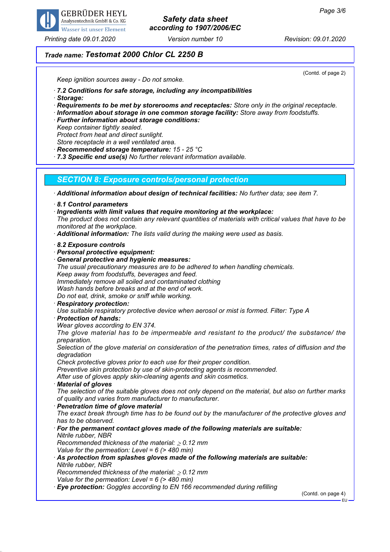

#### *Printing date 09.01.2020 Version number 10 Revision: 09.01.2020*

## *Safety data sheet according to 1907/2006/EC*

(Contd. of page 2)

### *Trade name: Testomat 2000 Chlor CL 2250 B*

*Keep ignition sources away - Do not smoke.*

*· 7.2 Conditions for safe storage, including any incompatibilities*

- *· Storage:*
- *· Requirements to be met by storerooms and receptacles: Store only in the original receptacle.*
- *· Information about storage in one common storage facility: Store away from foodstuffs.*
- *· Further information about storage conditions:*
- *Keep container tightly sealed.*
- *Protect from heat and direct sunlight.*
- *Store receptacle in a well ventilated area.*
- *· Recommended storage temperature: 15 25 °C*
- *· 7.3 Specific end use(s) No further relevant information available.*

#### *SECTION 8: Exposure controls/personal protection*

*· Additional information about design of technical facilities: No further data; see item 7.*

- *· 8.1 Control parameters*
- *· Ingredients with limit values that require monitoring at the workplace:*
- *The product does not contain any relevant quantities of materials with critical values that have to be monitored at the workplace.*
- *· Additional information: The lists valid during the making were used as basis.*
- *· 8.2 Exposure controls*
- *· Personal protective equipment:*
- *· General protective and hygienic measures:*
- *The usual precautionary measures are to be adhered to when handling chemicals. Keep away from foodstuffs, beverages and feed.*
- *Immediately remove all soiled and contaminated clothing*
- *Wash hands before breaks and at the end of work.*
- *Do not eat, drink, smoke or sniff while working.*
- *· Respiratory protection:*
- *Use suitable respiratory protective device when aerosol or mist is formed. Filter: Type A*
- *· Protection of hands:*
- *Wear gloves according to EN 374.*
- *The glove material has to be impermeable and resistant to the product/ the substance/ the preparation.*
- *Selection of the glove material on consideration of the penetration times, rates of diffusion and the degradation*
- *Check protective gloves prior to each use for their proper condition.*
- *Preventive skin protection by use of skin-protecting agents is recommended.*
- *After use of gloves apply skin-cleaning agents and skin cosmetics.*
- *· Material of gloves*
- *The selection of the suitable gloves does not only depend on the material, but also on further marks of quality and varies from manufacturer to manufacturer.*
- *· Penetration time of glove material*
- *The exact break through time has to be found out by the manufacturer of the protective gloves and has to be observed.*
- *· For the permanent contact gloves made of the following materials are suitable: Nitrile rubber, NBR Recommended thickness of the material:* ≥ *0.12 mm*
- *Value for the permeation: Level = 6 (> 480 min)*
- *· As protection from splashes gloves made of the following materials are suitable: Nitrile rubber, NBR Recommended thickness of the material:* ≥ *0.12 mm*
- *Value for the permeation: Level = 6 (> 480 min)*
- *· Eye protection: Goggles according to EN 166 recommended during refilling*

(Contd. on page 4)

EU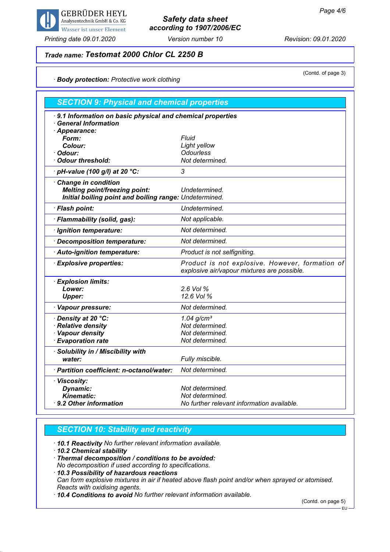

*Printing date 09.01.2020 Version number 10 Revision: 09.01.2020*

## *Safety data sheet according to 1907/2006/EC*

## *Trade name: Testomat 2000 Chlor CL 2250 B*

(Contd. of page 3)

### *· Body protection: Protective work clothing*

| <b>SECTION 9: Physical and chemical properties</b>                                                       |                                                                                                |  |
|----------------------------------------------------------------------------------------------------------|------------------------------------------------------------------------------------------------|--|
| 9.1 Information on basic physical and chemical properties<br><b>General Information</b><br>· Appearance: |                                                                                                |  |
| Form:                                                                                                    | Fluid                                                                                          |  |
| Colour:                                                                                                  | Light yellow                                                                                   |  |
| · Odour:                                                                                                 | <b>Odourless</b>                                                                               |  |
| · Odour threshold:                                                                                       | Not determined.                                                                                |  |
| · pH-value (100 g/l) at 20 °C:                                                                           | 3                                                                                              |  |
| Change in condition                                                                                      |                                                                                                |  |
| <b>Melting point/freezing point:</b>                                                                     | Undetermined.                                                                                  |  |
| Initial boiling point and boiling range: Undetermined.                                                   |                                                                                                |  |
| · Flash point:                                                                                           | Undetermined.                                                                                  |  |
| · Flammability (solid, gas):                                                                             | Not applicable.                                                                                |  |
| · Ignition temperature:                                                                                  | Not determined.                                                                                |  |
| · Decomposition temperature:                                                                             | Not determined.                                                                                |  |
| · Auto-ignition temperature:                                                                             | Product is not selfigniting.                                                                   |  |
| <b>Explosive properties:</b>                                                                             | Product is not explosive. However, formation of<br>explosive air/vapour mixtures are possible. |  |
| <b>Explosion limits:</b>                                                                                 |                                                                                                |  |
| Lower:                                                                                                   | 2.6 Vol %                                                                                      |  |
| <b>Upper:</b>                                                                                            | 12.6 Vol %                                                                                     |  |
| · Vapour pressure:                                                                                       | Not determined.                                                                                |  |
| · Density at 20 °C:                                                                                      | $1.04$ g/cm <sup>3</sup>                                                                       |  |
| · Relative density                                                                                       | Not determined.                                                                                |  |
| · Vapour density                                                                                         | Not determined.                                                                                |  |
| <b>Evaporation rate</b>                                                                                  | Not determined.                                                                                |  |
| · Solubility in / Miscibility with                                                                       |                                                                                                |  |
| water:                                                                                                   | Fully miscible.                                                                                |  |
| · Partition coefficient: n-octanol/water:                                                                | Not determined.                                                                                |  |
| · Viscosity:                                                                                             |                                                                                                |  |
| <b>Dynamic:</b>                                                                                          | Not determined.                                                                                |  |
| <b>Kinematic:</b>                                                                                        | Not determined.                                                                                |  |
| 9.2 Other information                                                                                    | No further relevant information available.                                                     |  |

#### *SECTION 10: Stability and reactivity*

*· 10.1 Reactivity No further relevant information available.*

*· 10.2 Chemical stability*

*· Thermal decomposition / conditions to be avoided:*

*No decomposition if used according to specifications.*

*· 10.3 Possibility of hazardous reactions Can form explosive mixtures in air if heated above flash point and/or when sprayed or atomised. Reacts with oxidising agents.*

*· 10.4 Conditions to avoid No further relevant information available.*

(Contd. on page 5)

EU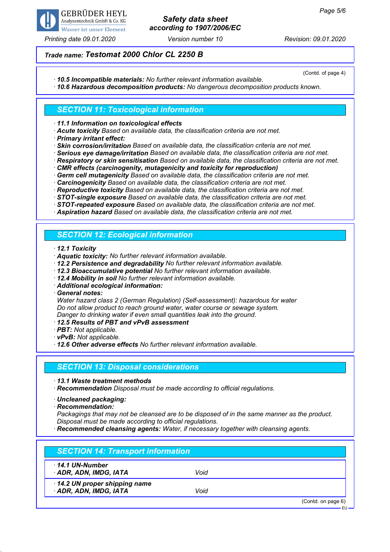

### *Printing date 09.01.2020 Version number 10 Revision: 09.01.2020*

## *Safety data sheet according to 1907/2006/EC*

### *Trade name: Testomat 2000 Chlor CL 2250 B*

(Contd. of page 4)

*· 10.5 Incompatible materials: No further relevant information available.*

*· 10.6 Hazardous decomposition products: No dangerous decomposition products known.*

#### *SECTION 11: Toxicological information*

*· 11.1 Information on toxicological effects*

*· Acute toxicity Based on available data, the classification criteria are not met.*

*· Primary irritant effect:*

*· Skin corrosion/irritation Based on available data, the classification criteria are not met.*

*· Serious eye damage/irritation Based on available data, the classification criteria are not met.*

*· Respiratory or skin sensitisation Based on available data, the classification criteria are not met.*

*· CMR effects (carcinogenity, mutagenicity and toxicity for reproduction)*

*· Germ cell mutagenicity Based on available data, the classification criteria are not met.*

*· Carcinogenicity Based on available data, the classification criteria are not met.*

*· Reproductive toxicity Based on available data, the classification criteria are not met.*

*· STOT-single exposure Based on available data, the classification criteria are not met.*

*· STOT-repeated exposure Based on available data, the classification criteria are not met.*

*· Aspiration hazard Based on available data, the classification criteria are not met.*

### *SECTION 12: Ecological information*

*· 12.1 Toxicity*

*· Aquatic toxicity: No further relevant information available.*

*· 12.2 Persistence and degradability No further relevant information available.*

*· 12.3 Bioaccumulative potential No further relevant information available.*

*· 12.4 Mobility in soil No further relevant information available.*

*· Additional ecological information:*

*· General notes:*

*Water hazard class 2 (German Regulation) (Self-assessment): hazardous for water Do not allow product to reach ground water, water course or sewage system. Danger to drinking water if even small quantities leak into the ground.*

- *· 12.5 Results of PBT and vPvB assessment*
- *· PBT: Not applicable.*

*· vPvB: Not applicable.*

*· 12.6 Other adverse effects No further relevant information available.*

#### *SECTION 13: Disposal considerations*

*· 13.1 Waste treatment methods*

*· Recommendation Disposal must be made according to official regulations.*

*· Uncleaned packaging:*

*· Recommendation:*

*Packagings that may not be cleansed are to be disposed of in the same manner as the product. Disposal must be made according to official regulations.*

*· Recommended cleansing agents: Water, if necessary together with cleansing agents.*

| <b>SECTION 14: Transport information</b>               |      |                    |
|--------------------------------------------------------|------|--------------------|
| 14.1 UN-Number<br>· ADR, ADN, IMDG, IATA               | Void |                    |
| 14.2 UN proper shipping name<br>· ADR, ADN, IMDG, IATA | Void |                    |
|                                                        |      | (Contd. on page 6) |